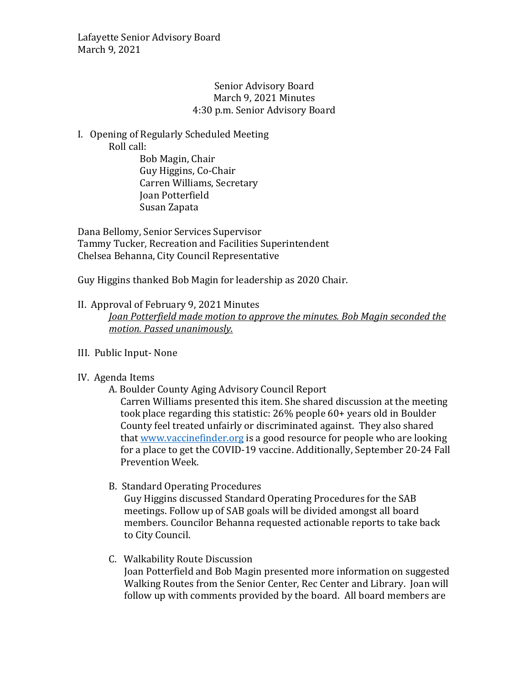### Senior Advisory Board March 9, 2021 Minutes 4:30 p.m. Senior Advisory Board

## I. Opening of Regularly Scheduled Meeting Roll call:

Bob Magin, Chair Guy Higgins, Co-Chair Carren Williams, Secretary Joan Potterfield Susan Zapata

Dana Bellomy, Senior Services Supervisor Tammy Tucker, Recreation and Facilities Superintendent Chelsea Behanna, City Council Representative

Guy Higgins thanked Bob Magin for leadership as 2020 Chair.

## II. Approval of February 9, 2021 Minutes

*Joan Potterfield made motion to approve the minutes. Bob Magin seconded the motion. Passed unanimously.*

# III. Public Input- None

### IV. Agenda Items

A. Boulder County Aging Advisory Council Report Carren Williams presented this item. She shared discussion at the meeting took place regarding this statistic: 26% people 60+ years old in Boulder County feel treated unfairly or discriminated against. They also shared tha[t www.vaccinefinder.org](http://www.vaccinefinder.org/) is a good resource for people who are looking for a place to get the COVID-19 vaccine. Additionally, September 20-24 Fall Prevention Week.

# B. Standard Operating Procedures

Guy Higgins discussed Standard Operating Procedures for the SAB meetings. Follow up of SAB goals will be divided amongst all board members. Councilor Behanna requested actionable reports to take back to City Council.

# C. Walkability Route Discussion

Joan Potterfield and Bob Magin presented more information on suggested Walking Routes from the Senior Center, Rec Center and Library. Joan will follow up with comments provided by the board. All board members are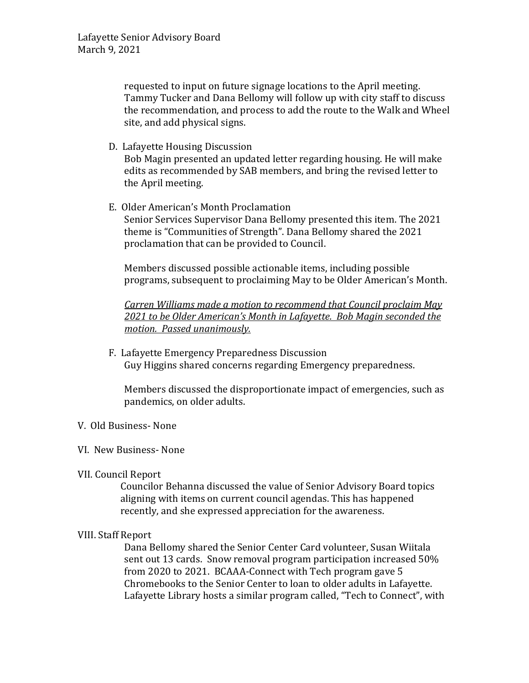requested to input on future signage locations to the April meeting. Tammy Tucker and Dana Bellomy will follow up with city staff to discuss the recommendation, and process to add the route to the Walk and Wheel site, and add physical signs.

D. Lafayette Housing Discussion

Bob Magin presented an updated letter regarding housing. He will make edits as recommended by SAB members, and bring the revised letter to the April meeting.

E. Older American's Month Proclamation Senior Services Supervisor Dana Bellomy presented this item. The 2021 theme is "Communities of Strength". Dana Bellomy shared the 2021 proclamation that can be provided to Council.

Members discussed possible actionable items, including possible programs, subsequent to proclaiming May to be Older American's Month.

*Carren Williams made a motion to recommend that Council proclaim May 2021 to be Older American's Month in Lafayette. Bob Magin seconded the motion. Passed unanimously.*

F. Lafayette Emergency Preparedness Discussion Guy Higgins shared concerns regarding Emergency preparedness.

Members discussed the disproportionate impact of emergencies, such as pandemics, on older adults.

V. Old Business- None

### VI. New Business- None

VII. Council Report

Councilor Behanna discussed the value of Senior Advisory Board topics aligning with items on current council agendas. This has happened recently, and she expressed appreciation for the awareness.

### VIII. Staff Report

Dana Bellomy shared the Senior Center Card volunteer, Susan Wiitala sent out 13 cards. Snow removal program participation increased 50% from 2020 to 2021. BCAAA-Connect with Tech program gave 5 Chromebooks to the Senior Center to loan to older adults in Lafayette. Lafayette Library hosts a similar program called, "Tech to Connect", with